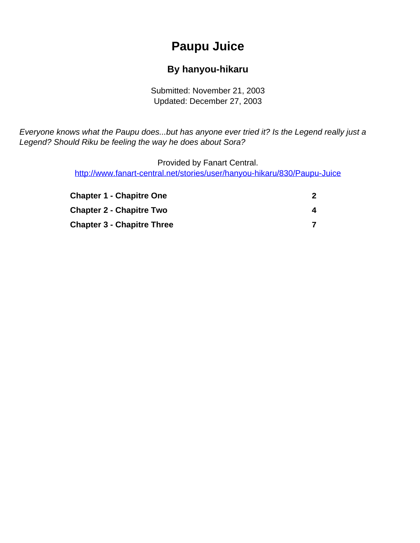# **Paupu Juice**

#### **By hanyou-hikaru**

Submitted: November 21, 2003 Updated: December 27, 2003

<span id="page-0-0"></span>Everyone knows what the Paupu does...but has anyone ever tried it? Is the Legend really just a Legend? Should Riku be feeling the way he does about Sora?

> Provided by Fanart Central. [http://www.fanart-central.net/stories/user/hanyou-hikaru/830/Paupu-Juice](#page-0-0)

| <b>Chapter 1 - Chapitre One</b>   |  |
|-----------------------------------|--|
| <b>Chapter 2 - Chapitre Two</b>   |  |
| <b>Chapter 3 - Chapitre Three</b> |  |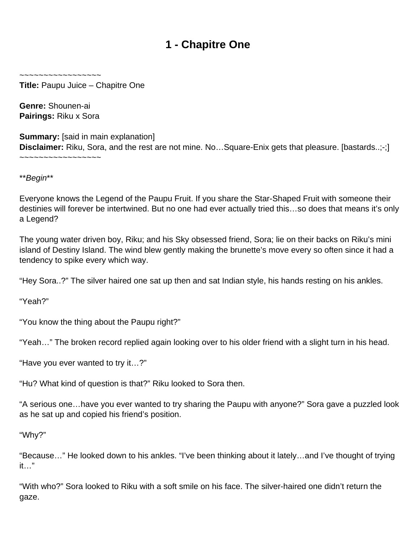## **1 - Chapitre One**

<span id="page-1-0"></span>~~~~~~~~~~~~~~~~~

**Title:** Paupu Juice – Chapitre One

**Genre:** Shounen-ai **Pairings:** Riku x Sora

**Summary:** [said in main explanation] **Disclaimer:** Riku, Sora, and the rest are not mine. No...Square-Enix gets that pleasure. [bastards..;-;] ~~~~~~~~~~~~~~~~~

\*\*Begin\*\*

Everyone knows the Legend of the Paupu Fruit. If you share the Star-Shaped Fruit with someone their destinies will forever be intertwined. But no one had ever actually tried this…so does that means it's only a Legend?

The young water driven boy, Riku; and his Sky obsessed friend, Sora; lie on their backs on Riku's mini island of Destiny Island. The wind blew gently making the brunette's move every so often since it had a tendency to spike every which way.

"Hey Sora..?" The silver haired one sat up then and sat Indian style, his hands resting on his ankles.

"Yeah?"

"You know the thing about the Paupu right?"

"Yeah…" The broken record replied again looking over to his older friend with a slight turn in his head.

"Have you ever wanted to try it…?"

"Hu? What kind of question is that?" Riku looked to Sora then.

"A serious one…have you ever wanted to try sharing the Paupu with anyone?" Sora gave a puzzled look as he sat up and copied his friend's position.

"Why?"

"Because…" He looked down to his ankles. "I've been thinking about it lately…and I've thought of trying it…"

"With who?" Sora looked to Riku with a soft smile on his face. The silver-haired one didn't return the gaze.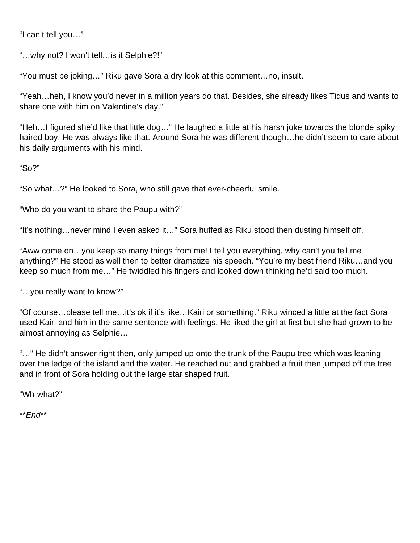"I can't tell you…"

"…why not? I won't tell…is it Selphie?!"

"You must be joking…" Riku gave Sora a dry look at this comment…no, insult.

"Yeah…heh, I know you'd never in a million years do that. Besides, she already likes Tidus and wants to share one with him on Valentine's day."

"Heh…I figured she'd like that little dog…" He laughed a little at his harsh joke towards the blonde spiky haired boy. He was always like that. Around Sora he was different though…he didn't seem to care about his daily arguments with his mind.

"So?"

"So what…?" He looked to Sora, who still gave that ever-cheerful smile.

"Who do you want to share the Paupu with?"

"It's nothing…never mind I even asked it…" Sora huffed as Riku stood then dusting himself off.

"Aww come on…you keep so many things from me! I tell you everything, why can't you tell me anything?" He stood as well then to better dramatize his speech. "You're my best friend Riku…and you keep so much from me…" He twiddled his fingers and looked down thinking he'd said too much.

"…you really want to know?"

"Of course…please tell me…it's ok if it's like…Kairi or something." Riku winced a little at the fact Sora used Kairi and him in the same sentence with feelings. He liked the girl at first but she had grown to be almost annoying as Selphie…

"…" He didn't answer right then, only jumped up onto the trunk of the Paupu tree which was leaning over the ledge of the island and the water. He reached out and grabbed a fruit then jumped off the tree and in front of Sora holding out the large star shaped fruit.

"Wh-what?"

\*\*End\*\*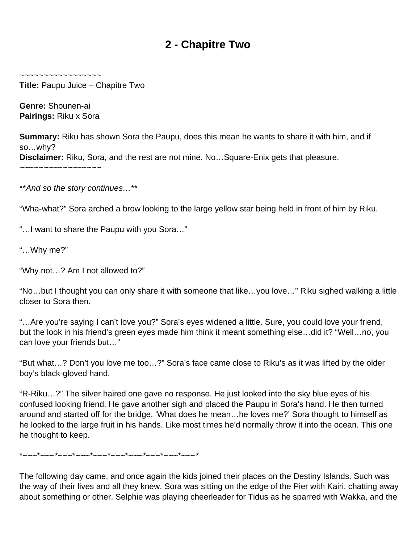## **2 - Chapitre Two**

<span id="page-3-0"></span>~~~~~~~~~~~~~~~~~

**Title:** Paupu Juice – Chapitre Two

**Genre:** Shounen-ai **Pairings:** Riku x Sora

**Summary:** Riku has shown Sora the Paupu, does this mean he wants to share it with him, and if so…why?

**Disclaimer:** Riku, Sora, and the rest are not mine. No…Square-Enix gets that pleasure.

~~~~~~~~~~~~~~~~~

\*\*And so the story continues…\*\*

"Wha-what?" Sora arched a brow looking to the large yellow star being held in front of him by Riku.

"…I want to share the Paupu with you Sora…"

"…Why me?"

"Why not…? Am I not allowed to?"

"No…but I thought you can only share it with someone that like…you love…" Riku sighed walking a little closer to Sora then.

"…Are you're saying I can't love you?" Sora's eyes widened a little. Sure, you could love your friend, but the look in his friend's green eyes made him think it meant something else…did it? "Well…no, you can love your friends but…"

"But what…? Don't you love me too…?" Sora's face came close to Riku's as it was lifted by the older boy's black-gloved hand.

"R-Riku…?" The silver haired one gave no response. He just looked into the sky blue eyes of his confused looking friend. He gave another sigh and placed the Paupu in Sora's hand. He then turned around and started off for the bridge. 'What does he mean…he loves me?' Sora thought to himself as he looked to the large fruit in his hands. Like most times he'd normally throw it into the ocean. This one he thought to keep.

 $*$ ~~~ $*$ ~~~\*~~~\*~~~\*~~~\*~~~\*~~~\*~~~\*~~~\*

The following day came, and once again the kids joined their places on the Destiny Islands. Such was the way of their lives and all they knew. Sora was sitting on the edge of the Pier with Kairi, chatting away about something or other. Selphie was playing cheerleader for Tidus as he sparred with Wakka, and the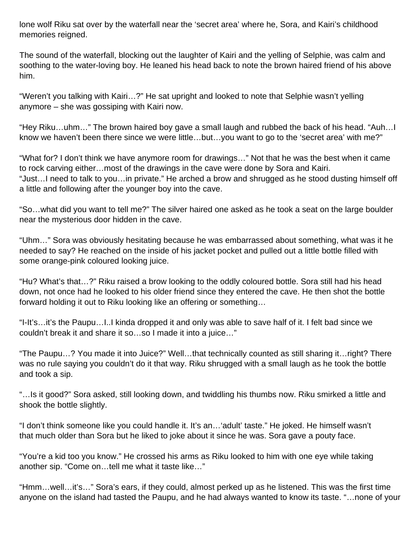lone wolf Riku sat over by the waterfall near the 'secret area' where he, Sora, and Kairi's childhood memories reigned.

The sound of the waterfall, blocking out the laughter of Kairi and the yelling of Selphie, was calm and soothing to the water-loving boy. He leaned his head back to note the brown haired friend of his above him.

"Weren't you talking with Kairi…?" He sat upright and looked to note that Selphie wasn't yelling anymore – she was gossiping with Kairi now.

"Hey Riku…uhm…" The brown haired boy gave a small laugh and rubbed the back of his head. "Auh…I know we haven't been there since we were little…but…you want to go to the 'secret area' with me?"

"What for? I don't think we have anymore room for drawings…" Not that he was the best when it came to rock carving either…most of the drawings in the cave were done by Sora and Kairi. "Just…I need to talk to you…in private." He arched a brow and shrugged as he stood dusting himself off a little and following after the younger boy into the cave.

"So…what did you want to tell me?" The silver haired one asked as he took a seat on the large boulder near the mysterious door hidden in the cave.

"Uhm…" Sora was obviously hesitating because he was embarrassed about something, what was it he needed to say? He reached on the inside of his jacket pocket and pulled out a little bottle filled with some orange-pink coloured looking juice.

"Hu? What's that…?" Riku raised a brow looking to the oddly coloured bottle. Sora still had his head down, not once had he looked to his older friend since they entered the cave. He then shot the bottle forward holding it out to Riku looking like an offering or something…

"I-It's…it's the Paupu…I..I kinda dropped it and only was able to save half of it. I felt bad since we couldn't break it and share it so…so I made it into a juice…"

"The Paupu…? You made it into Juice?" Well…that technically counted as still sharing it…right? There was no rule saying you couldn't do it that way. Riku shrugged with a small laugh as he took the bottle and took a sip.

"…Is it good?" Sora asked, still looking down, and twiddling his thumbs now. Riku smirked a little and shook the bottle slightly.

"I don't think someone like you could handle it. It's an…'adult' taste." He joked. He himself wasn't that much older than Sora but he liked to joke about it since he was. Sora gave a pouty face.

"You're a kid too you know." He crossed his arms as Riku looked to him with one eye while taking another sip. "Come on…tell me what it taste like…"

"Hmm…well…it's…" Sora's ears, if they could, almost perked up as he listened. This was the first time anyone on the island had tasted the Paupu, and he had always wanted to know its taste. "…none of your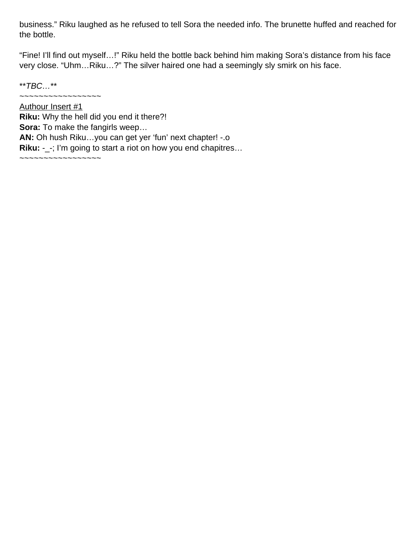business." Riku laughed as he refused to tell Sora the needed info. The brunette huffed and reached for the bottle.

"Fine! I'll find out myself…!" Riku held the bottle back behind him making Sora's distance from his face very close. "Uhm…Riku…?" The silver haired one had a seemingly sly smirk on his face.

 $*$ \* $TBC...$ \*\*

~~~~~~~~~~~~~~~~~

Authour Insert #1 **Riku:** Why the hell did you end it there?! **Sora:** To make the fangirls weep… **AN:** Oh hush Riku…you can get yer 'fun' next chapter! -.o **Riku:** -\_-; I'm going to start a riot on how you end chapitres… ~~~~~~~~~~~~~~~~~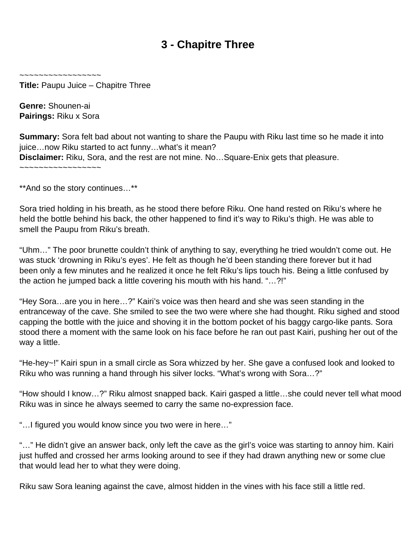## **3 - Chapitre Three**

<span id="page-6-0"></span>~~~~~~~~~~~~~~~~~

**Title:** Paupu Juice – Chapitre Three

**Genre:** Shounen-ai **Pairings:** Riku x Sora

**Summary:** Sora felt bad about not wanting to share the Paupu with Riku last time so he made it into juice...now Riku started to act funny...what's it mean? **Disclaimer:** Riku, Sora, and the rest are not mine. No…Square-Enix gets that pleasure. ~~~~~~~~~~~~~~~~~

\*\*And so the story continues…\*\*

Sora tried holding in his breath, as he stood there before Riku. One hand rested on Riku's where he held the bottle behind his back, the other happened to find it's way to Riku's thigh. He was able to smell the Paupu from Riku's breath.

"Uhm…" The poor brunette couldn't think of anything to say, everything he tried wouldn't come out. He was stuck 'drowning in Riku's eyes'. He felt as though he'd been standing there forever but it had been only a few minutes and he realized it once he felt Riku's lips touch his. Being a little confused by the action he jumped back a little covering his mouth with his hand. "…?!"

"Hey Sora…are you in here…?" Kairi's voice was then heard and she was seen standing in the entranceway of the cave. She smiled to see the two were where she had thought. Riku sighed and stood capping the bottle with the juice and shoving it in the bottom pocket of his baggy cargo-like pants. Sora stood there a moment with the same look on his face before he ran out past Kairi, pushing her out of the way a little.

"He-hey~!" Kairi spun in a small circle as Sora whizzed by her. She gave a confused look and looked to Riku who was running a hand through his silver locks. "What's wrong with Sora…?"

"How should I know…?" Riku almost snapped back. Kairi gasped a little…she could never tell what mood Riku was in since he always seemed to carry the same no-expression face.

"…I figured you would know since you two were in here…"

"…" He didn't give an answer back, only left the cave as the girl's voice was starting to annoy him. Kairi just huffed and crossed her arms looking around to see if they had drawn anything new or some clue that would lead her to what they were doing.

Riku saw Sora leaning against the cave, almost hidden in the vines with his face still a little red.